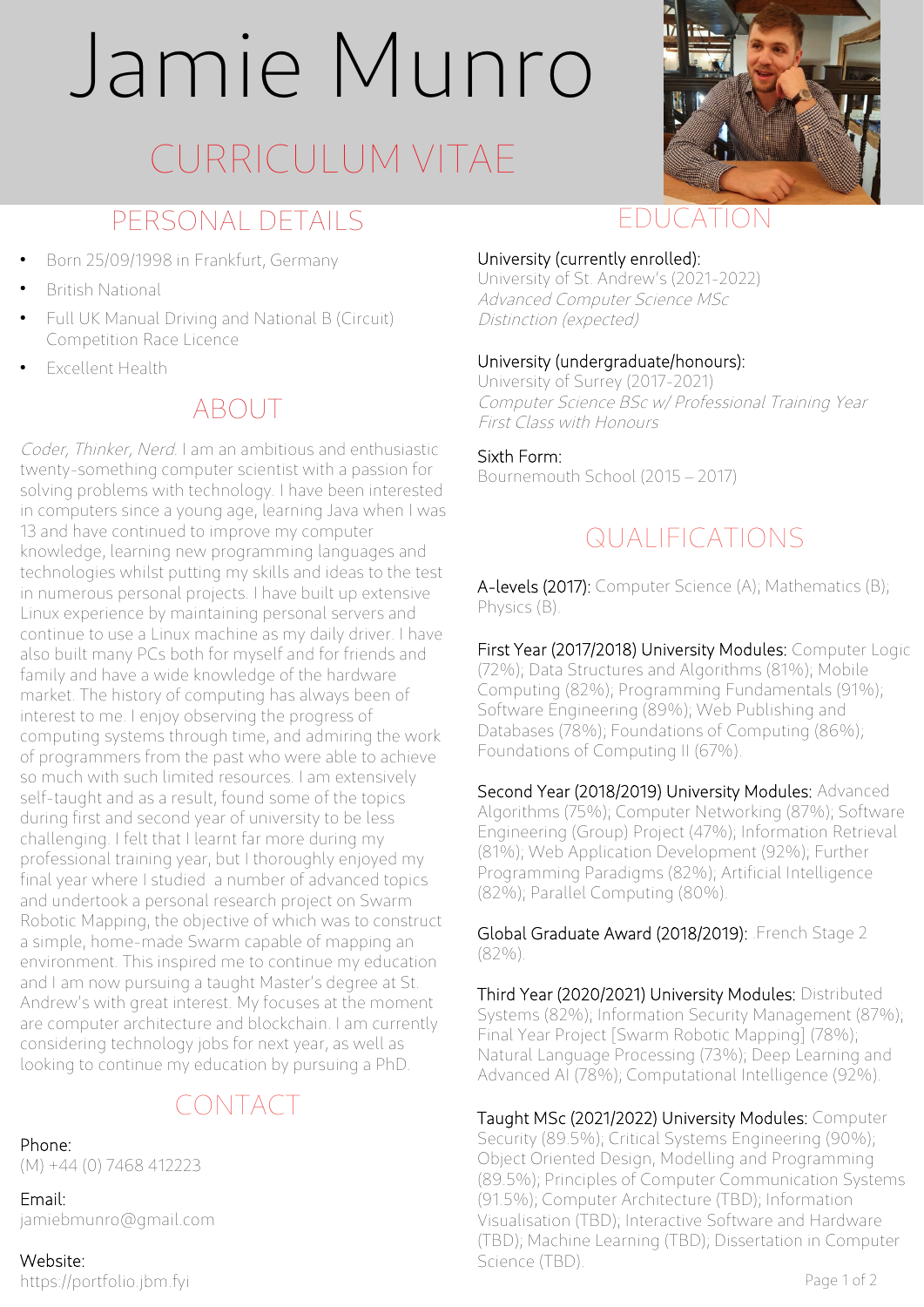# Jamie Munro

## CURRICULUM VITAE

## PERSONAL DETAILS

- Born 25/09/1998 in Frankfurt, Germany
- **British National**
- Full UK Manual Driving and National B (Circuit) Competition Race Licence
- **Excellent Health**

## ABOUT

Coder, Thinker, Nerd. I am an ambitious and enthusiastic twenty-something computer scientist with a passion for solving problems with technology. I have been interested in computers since a young age, learning Java when I was 13 and have continued to improve my computer knowledge, learning new programming languages and technologies whilst putting my skills and ideas to the test in numerous personal projects. I have built up extensive Linux experience by maintaining personal servers and continue to use a Linux machine as my daily driver. I have also built many PCs both for myself and for friends and family and have a wide knowledge of the hardware market. The history of computing has always been of interest to me. I enjoy observing the progress of computing systems through time, and admiring the work of programmers from the past who were able to achieve so much with such limited resources. I am extensively self-taught and as a result, found some of the topics during first and second year of university to be less challenging. I felt that I learnt far more during my professional training year, but I thoroughly enjoyed my final year where I studied a number of advanced topics and undertook a personal research project on Swarm Robotic Mapping, the objective of which was to construct a simple, home-made Swarm capable of mapping an environment. This inspired me to continue my education and I am now pursuing a taught Master's degree at St. Andrew's with great interest. My focuses at the moment are computer architecture and blockchain. I am currently considering technology jobs for next year, as well as looking to continue my education by pursuing a PhD.

## CONTACT

#### Phone:

(M) +44 (0) 7468 412223

Email: [jamiebmunro@gmail.com](mailto:jamiebmunro@gmail.com)

Website: https://portfolio.jbm.fyi



## EDUCATION

#### University (currently enrolled):

University of St. Andrew's (2021-2022) Advanced Computer Science MSc Distinction (expected)

#### University (undergraduate/honours):

University of Surrey (2017-2021) Computer Science BSc w/ Professional Training Year First Class with Honours

Sixth Form: Bournemouth School (2015 – 2017)

## QUALIFICATIONS

A-levels (2017): Computer Science (A); Mathematics (B); Physics (B).

First Year (2017/2018) University Modules: Computer Logic (72%); Data Structures and Algorithms (81%); Mobile Computing (82%); Programming Fundamentals (91%); Software Engineering (89%); Web Publishing and Databases (78%); Foundations of Computing (86%); Foundations of Computing II (67%).

Second Year (2018/2019) University Modules: Advanced Algorithms (75%); Computer Networking (87%); Software Engineering (Group) Project (47%); Information Retrieval (81%); Web Application Development (92%); Further Programming Paradigms (82%); Artificial Intelligence (82%); Parallel Computing (80%).

Global Graduate Award (2018/2019): .French Stage 2 (82%).

Third Year (2020/2021) University Modules: Distributed Systems (82%); Information Security Management (87%); Final Year Project [Swarm Robotic Mapping] (78%); Natural Language Processing (73%); Deep Learning and Advanced AI (78%); Computational Intelligence (92%).

Taught MSc (2021/2022) University Modules: Computer Security (89.5%); Critical Systems Engineering (90%); Object Oriented Design, Modelling and Programming (89.5%); Principles of Computer Communication Systems (91.5%); Computer Architecture (TBD); Information Visualisation (TBD); Interactive Software and Hardware (TBD); Machine Learning (TBD); Dissertation in Computer Science (TBD).